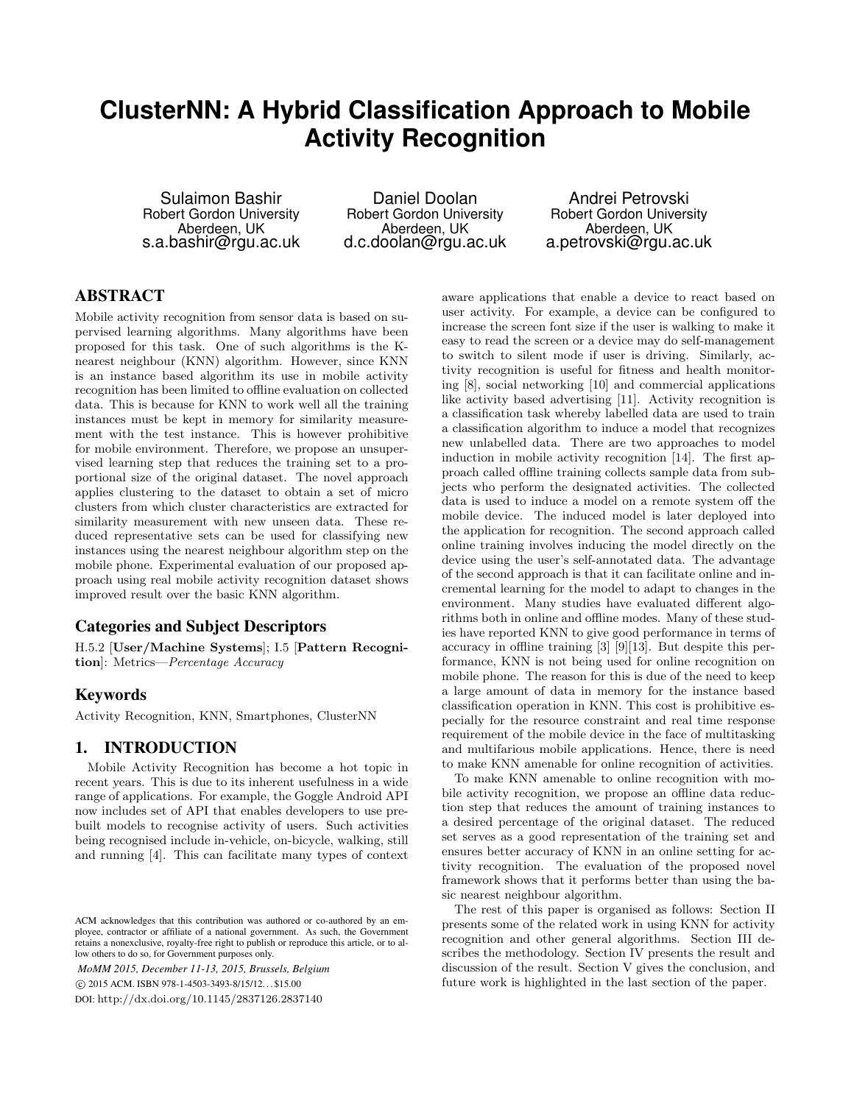# **ClusterNN: A Hybrid Classification Approach to Mobile Activity Recognition**

Sulaimon Bashir Robert Gordon University Aberdeen, UK s.a.bashir@rgu.ac.uk

Daniel Doolan Robert Gordon University Aberdeen, UK d.c.doolan@rgu.ac.uk

Andrei Petrovski Robert Gordon University Aberdeen, UK a.petrovski@rgu.ac.uk

# ABSTRACT

Mobile activity recognition from sensor data is based on supervised learning algorithms. Many algorithms have been proposed for this task. One of such algorithms is the Knearest neighbour (KNN) algorithm. However, since KNN is an instance based algorithm its use in mobile activity recognition has been limited to offline evaluation on collected data. This is because for KNN to work well all the training instances must be kept in memory for similarity measurement with the test instance. This is however prohibitive for mobile environment. Therefore, we propose an unsupervised learning step that reduces the training set to a proportional size of the original dataset. The novel approach applies clustering to the dataset to obtain a set of micro clusters from which cluster characteristics are extracted for similarity measurement with new unseen data. These reduced representative sets can be used for classifying new instances using the nearest neighbour algorithm step on the mobile phone. Experimental evaluation of our proposed approach using real mobile activity recognition dataset shows improved result over the basic KNN algorithm.

# Categories and Subject Descriptors

H.5.2 [User/Machine Systems]; I.5 [Pattern Recognition]: Metrics—Percentage Accuracy

## Keywords

Activity Recognition, KNN, Smartphones, ClusterNN

# 1. INTRODUCTION

Mobile Activity Recognition has become a hot topic in recent years. This is due to its inherent usefulness in a wide range of applications. For example, the Goggle Android API now includes set of API that enables developers to use prebuilt models to recognise activity of users. Such activities being recognised include in-vehicle, on-bicycle, walking, still and running [4]. This can facilitate many types of context

*MoMM 2015, December 11-13, 2015, Brussels, Belgium* c 2015 ACM. ISBN 978-1-4503-3493-8/15/12. . . \$15.00 DOI: http://dx.doi.org/10.1145/2837126.2837140

aware applications that enable a device to react based on user activity. For example, a device can be configured to increase the screen font size if the user is walking to make it easy to read the screen or a device may do self-management to switch to silent mode if user is driving. Similarly, activity recognition is useful for fitness and health monitoring [8], social networking [10] and commercial applications like activity based advertising [11]. Activity recognition is a classification task whereby labelled data are used to train a classification algorithm to induce a model that recognizes new unlabelled data. There are two approaches to model induction in mobile activity recognition [14]. The first approach called offline training collects sample data from subjects who perform the designated activities. The collected data is used to induce a model on a remote system off the mobile device. The induced model is later deployed into the application for recognition. The second approach called online training involves inducing the model directly on the device using the user's self-annotated data. The advantage of the second approach is that it can facilitate online and incremental learning for the model to adapt to changes in the environment. Many studies have evaluated different algorithms both in online and offline modes. Many of these studies have reported KNN to give good performance in terms of accuracy in offline training [3] [9][13]. But despite this performance, KNN is not being used for online recognition on mobile phone. The reason for this is due of the need to keep a large amount of data in memory for the instance based classification operation in KNN. This cost is prohibitive especially for the resource constraint and real time response requirement of the mobile device in the face of multitasking and multifarious mobile applications. Hence, there is need to make KNN amenable for online recognition of activities.

To make KNN amenable to online recognition with mobile activity recognition, we propose an offline data reduction step that reduces the amount of training instances to a desired percentage of the original dataset. The reduced set serves as a good representation of the training set and ensures better accuracy of KNN in an online setting for activity recognition. The evaluation of the proposed novel framework shows that it performs better than using the basic nearest neighbour algorithm.

The rest of this paper is organised as follows: Section II presents some of the related work in using KNN for activity recognition and other general algorithms. Section III describes the methodology. Section IV presents the result and discussion of the result. Section V gives the conclusion, and future work is highlighted in the last section of the paper.

ACM acknowledges that this contribution was authored or co-authored by an employee, contractor or affiliate of a national government. As such, the Government retains a nonexclusive, royalty-free right to publish or reproduce this article, or to allow others to do so, for Government purposes only.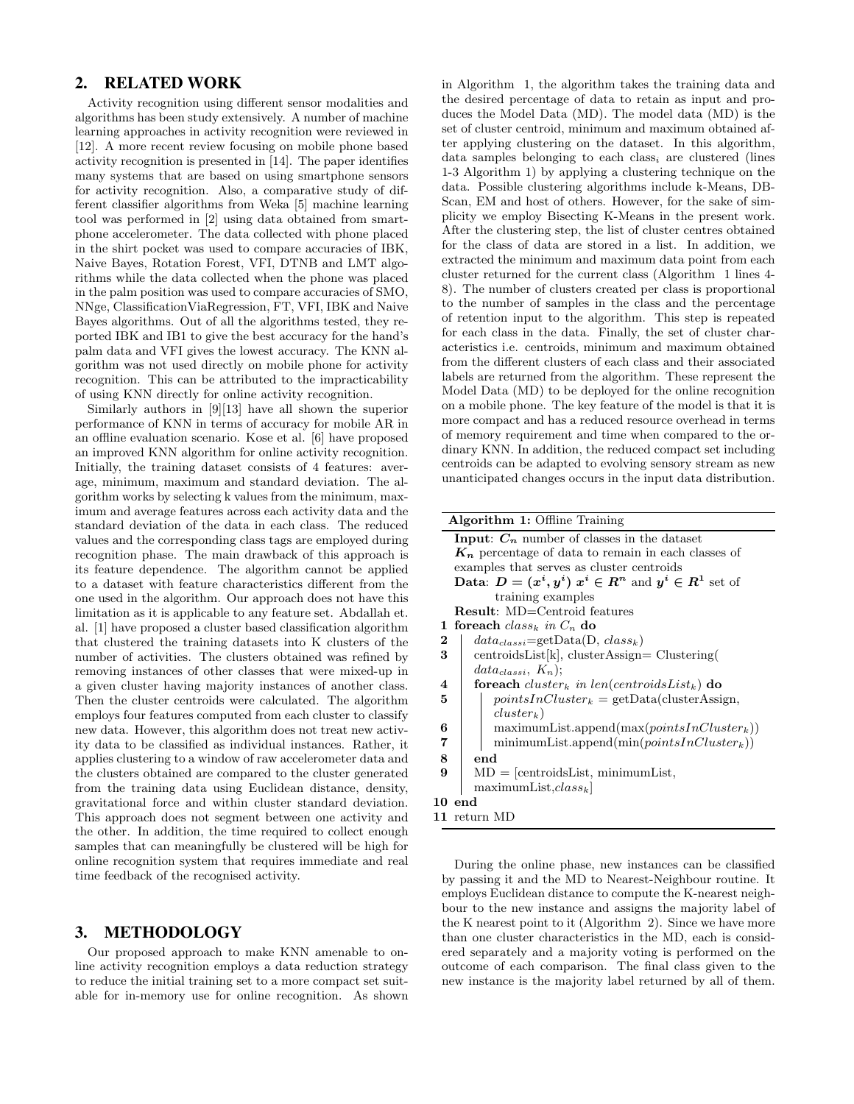## 2. RELATED WORK

Activity recognition using different sensor modalities and algorithms has been study extensively. A number of machine learning approaches in activity recognition were reviewed in [12]. A more recent review focusing on mobile phone based activity recognition is presented in [14]. The paper identifies many systems that are based on using smartphone sensors for activity recognition. Also, a comparative study of different classifier algorithms from Weka [5] machine learning tool was performed in [2] using data obtained from smartphone accelerometer. The data collected with phone placed in the shirt pocket was used to compare accuracies of IBK, Naive Bayes, Rotation Forest, VFI, DTNB and LMT algorithms while the data collected when the phone was placed in the palm position was used to compare accuracies of SMO, NNge, ClassificationViaRegression, FT, VFI, IBK and Naive Bayes algorithms. Out of all the algorithms tested, they reported IBK and IB1 to give the best accuracy for the hand's palm data and VFI gives the lowest accuracy. The KNN algorithm was not used directly on mobile phone for activity recognition. This can be attributed to the impracticability of using KNN directly for online activity recognition.

Similarly authors in [9][13] have all shown the superior performance of KNN in terms of accuracy for mobile AR in an offline evaluation scenario. Kose et al. [6] have proposed an improved KNN algorithm for online activity recognition. Initially, the training dataset consists of 4 features: average, minimum, maximum and standard deviation. The algorithm works by selecting k values from the minimum, maximum and average features across each activity data and the standard deviation of the data in each class. The reduced values and the corresponding class tags are employed during recognition phase. The main drawback of this approach is its feature dependence. The algorithm cannot be applied to a dataset with feature characteristics different from the one used in the algorithm. Our approach does not have this limitation as it is applicable to any feature set. Abdallah et. al. [1] have proposed a cluster based classification algorithm that clustered the training datasets into K clusters of the number of activities. The clusters obtained was refined by removing instances of other classes that were mixed-up in a given cluster having majority instances of another class. Then the cluster centroids were calculated. The algorithm employs four features computed from each cluster to classify new data. However, this algorithm does not treat new activity data to be classified as individual instances. Rather, it applies clustering to a window of raw accelerometer data and the clusters obtained are compared to the cluster generated from the training data using Euclidean distance, density, gravitational force and within cluster standard deviation. This approach does not segment between one activity and the other. In addition, the time required to collect enough samples that can meaningfully be clustered will be high for online recognition system that requires immediate and real time feedback of the recognised activity.

### 3. METHODOLOGY

Our proposed approach to make KNN amenable to online activity recognition employs a data reduction strategy to reduce the initial training set to a more compact set suitable for in-memory use for online recognition. As shown in Algorithm 1, the algorithm takes the training data and the desired percentage of data to retain as input and produces the Model Data (MD). The model data (MD) is the set of cluster centroid, minimum and maximum obtained after applying clustering on the dataset. In this algorithm, data samples belonging to each class<sub>i</sub> are clustered (lines 1-3 Algorithm 1) by applying a clustering technique on the data. Possible clustering algorithms include k-Means, DB-Scan, EM and host of others. However, for the sake of simplicity we employ Bisecting K-Means in the present work. After the clustering step, the list of cluster centres obtained for the class of data are stored in a list. In addition, we extracted the minimum and maximum data point from each cluster returned for the current class (Algorithm 1 lines 4- 8). The number of clusters created per class is proportional to the number of samples in the class and the percentage of retention input to the algorithm. This step is repeated for each class in the data. Finally, the set of cluster characteristics i.e. centroids, minimum and maximum obtained from the different clusters of each class and their associated labels are returned from the algorithm. These represent the Model Data (MD) to be deployed for the online recognition on a mobile phone. The key feature of the model is that it is more compact and has a reduced resource overhead in terms of memory requirement and time when compared to the ordinary KNN. In addition, the reduced compact set including centroids can be adapted to evolving sensory stream as new unanticipated changes occurs in the input data distribution.

| <b>Algorithm 1:</b> Offline Training                             |
|------------------------------------------------------------------|
| <b>Input:</b> $C_n$ number of classes in the dataset             |
| $K_n$ percentage of data to remain in each classes of            |
| examples that serves as cluster centroids                        |
| Data: $D = (x^i, y^i)$ $x^i \in R^n$ and $y^i \in R^1$ set of    |
| training examples                                                |
| <b>Result:</b> MD=Centroid features                              |
| foreach $class_k$ in $C_n$ do<br>1                               |
| $data_{classi} = getData(D, class_k)$<br>$\bf{2}$                |
| 3<br>centroidsList[k], clusterAssign= Clustering(                |
| $data_{classi}, K_n);$                                           |
| foreach $cluster_k$ in len(centroids List <sub>k</sub> ) do<br>4 |
| $pointsInCluster_k = getData(clusterAssign,$<br>5                |
| $cluster_k$ )                                                    |
| $maximumList.append(max(pointsInCluster_k))$<br>6                |
| 7<br>$minimum List.append(min(pointsInCluster_k))$               |
| end<br>8                                                         |
| 9<br>$MD = [centroidsList, minimumList,$                         |
| $\text{maximumList}, class_k$                                    |
| 10 end                                                           |
| $11$ return MD                                                   |
|                                                                  |

During the online phase, new instances can be classified by passing it and the MD to Nearest-Neighbour routine. It employs Euclidean distance to compute the K-nearest neighbour to the new instance and assigns the majority label of the K nearest point to it (Algorithm 2). Since we have more than one cluster characteristics in the MD, each is considered separately and a majority voting is performed on the outcome of each comparison. The final class given to the new instance is the majority label returned by all of them.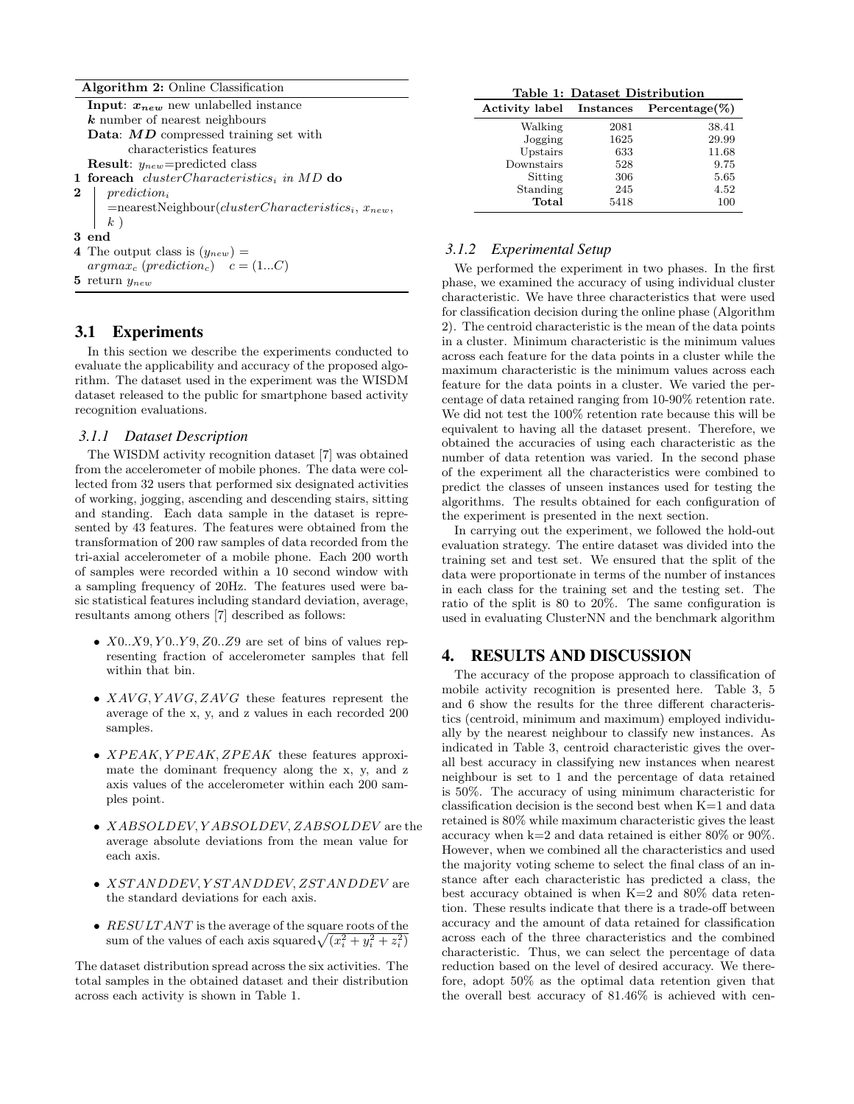Algorithm 2: Online Classification

| <b>Input:</b> $x_{new}$ new unlabelled instance                                                                                                                   |
|-------------------------------------------------------------------------------------------------------------------------------------------------------------------|
| $k$ number of nearest neighbours                                                                                                                                  |
| <b>Data:</b> $MD$ compressed training set with                                                                                                                    |
| characteristics features                                                                                                                                          |
| <b>Result:</b> $y_{new}$ =predicted class                                                                                                                         |
| <b>1 foreach</b> <i>clusterCharacteristics</i> , in $MD$ do                                                                                                       |
|                                                                                                                                                                   |
| $\begin{array}{c}\n\mathbf{2} \quad \Big  \quad \text{prediction}_{i}\n\\ \n= \text{nearestNeighbour}(clusterCharacteristics_{i}, x_{new}, y_{new})\n\end{array}$ |
| k)                                                                                                                                                                |
| 3 end                                                                                                                                                             |
| 4 The output class is $(y_{new}) =$                                                                                                                               |
| $argmax_c (prediction_c)$ $c = (1C)$                                                                                                                              |
| 5 return $y_{new}$                                                                                                                                                |
|                                                                                                                                                                   |

## 3.1 Experiments

In this section we describe the experiments conducted to evaluate the applicability and accuracy of the proposed algorithm. The dataset used in the experiment was the WISDM dataset released to the public for smartphone based activity recognition evaluations.

#### *3.1.1 Dataset Description*

The WISDM activity recognition dataset [7] was obtained from the accelerometer of mobile phones. The data were collected from 32 users that performed six designated activities of working, jogging, ascending and descending stairs, sitting and standing. Each data sample in the dataset is represented by 43 features. The features were obtained from the transformation of 200 raw samples of data recorded from the tri-axial accelerometer of a mobile phone. Each 200 worth of samples were recorded within a 10 second window with a sampling frequency of 20Hz. The features used were basic statistical features including standard deviation, average, resultants among others [7] described as follows:

- $X0..X9, Y0..Y9, Z0..Z9$  are set of bins of values representing fraction of accelerometer samples that fell within that bin.
- $XAVG, YAVG, ZAVG$  these features represent the average of the x, y, and z values in each recorded 200 samples.
- $XPEAK, YPEAK, ZPEAK$  these features approximate the dominant frequency along the x, y, and z axis values of the accelerometer within each 200 samples point.
- XABSOLDEV, YABSOLDEV, ZABSOLDEV are the average absolute deviations from the mean value for each axis.
- XSTANDDEV, YSTANDDEV, ZSTANDDEV are the standard deviations for each axis.
- $RESULTANT$  is the average of the square roots of the sum of the values of each axis squared  $\sqrt{(x_i^2 + y_i^2 + z_i^2)}$

The dataset distribution spread across the six activities. The total samples in the obtained dataset and their distribution across each activity is shown in Table 1.

Table 1: Dataset Distribution

| Activity label      | Instances   | $Percentage(\%)$ |
|---------------------|-------------|------------------|
| Walking             | 2081        | 38.41            |
| Jogging<br>Upstairs | 1625<br>633 | 29.99<br>11.68   |
| Downstairs          | 528         | 9.75             |
| Sitting             | 306         | 5.65             |
| Standing            | 245         | 4.52             |
| Total               | 5418        | 100              |

## *3.1.2 Experimental Setup*

We performed the experiment in two phases. In the first phase, we examined the accuracy of using individual cluster characteristic. We have three characteristics that were used for classification decision during the online phase (Algorithm 2). The centroid characteristic is the mean of the data points in a cluster. Minimum characteristic is the minimum values across each feature for the data points in a cluster while the maximum characteristic is the minimum values across each feature for the data points in a cluster. We varied the percentage of data retained ranging from 10-90% retention rate. We did not test the 100% retention rate because this will be equivalent to having all the dataset present. Therefore, we obtained the accuracies of using each characteristic as the number of data retention was varied. In the second phase of the experiment all the characteristics were combined to predict the classes of unseen instances used for testing the algorithms. The results obtained for each configuration of the experiment is presented in the next section.

In carrying out the experiment, we followed the hold-out evaluation strategy. The entire dataset was divided into the training set and test set. We ensured that the split of the data were proportionate in terms of the number of instances in each class for the training set and the testing set. The ratio of the split is 80 to 20%. The same configuration is used in evaluating ClusterNN and the benchmark algorithm

## 4. RESULTS AND DISCUSSION

The accuracy of the propose approach to classification of mobile activity recognition is presented here. Table 3, 5 and 6 show the results for the three different characteristics (centroid, minimum and maximum) employed individually by the nearest neighbour to classify new instances. As indicated in Table 3, centroid characteristic gives the overall best accuracy in classifying new instances when nearest neighbour is set to 1 and the percentage of data retained is 50%. The accuracy of using minimum characteristic for classification decision is the second best when K=1 and data retained is 80% while maximum characteristic gives the least accuracy when k=2 and data retained is either 80% or 90%. However, when we combined all the characteristics and used the majority voting scheme to select the final class of an instance after each characteristic has predicted a class, the best accuracy obtained is when K=2 and 80% data retention. These results indicate that there is a trade-off between accuracy and the amount of data retained for classification across each of the three characteristics and the combined characteristic. Thus, we can select the percentage of data reduction based on the level of desired accuracy. We therefore, adopt 50% as the optimal data retention given that the overall best accuracy of 81.46% is achieved with cen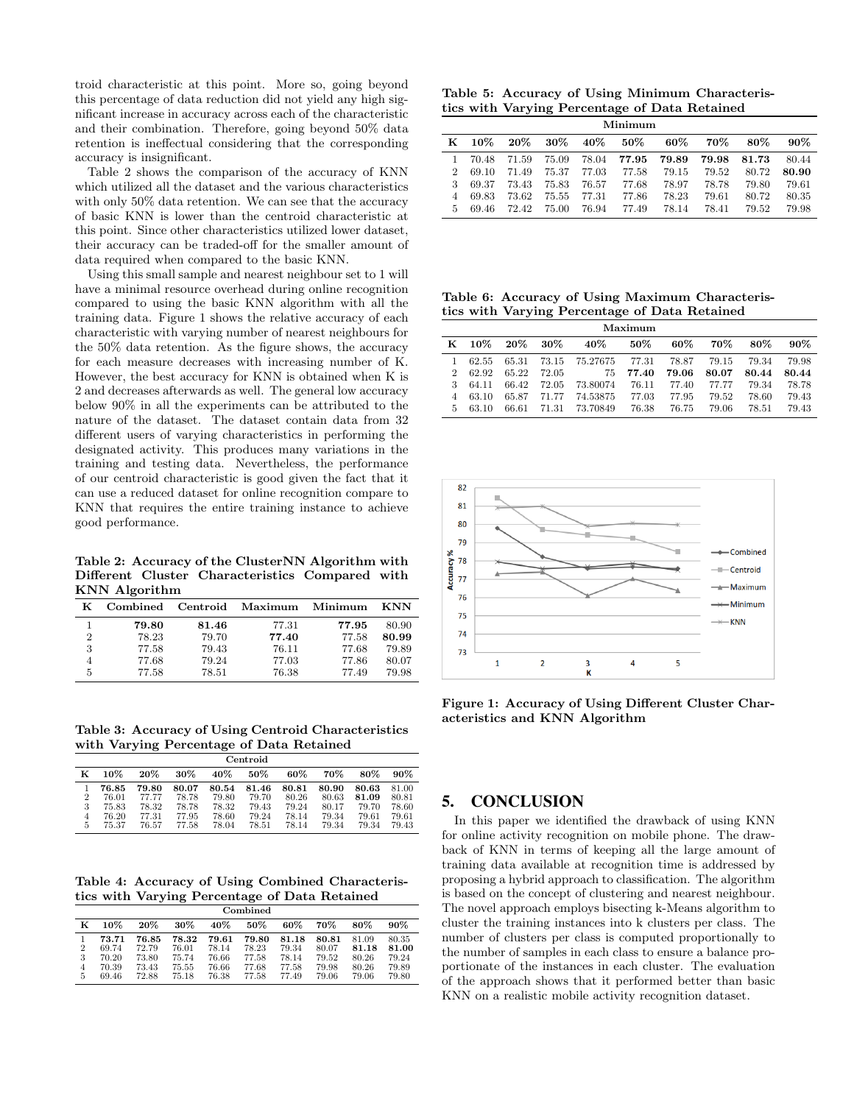troid characteristic at this point. More so, going beyond this percentage of data reduction did not yield any high significant increase in accuracy across each of the characteristic and their combination. Therefore, going beyond 50% data retention is ineffectual considering that the corresponding accuracy is insignificant.

Table 2 shows the comparison of the accuracy of KNN which utilized all the dataset and the various characteristics with only 50% data retention. We can see that the accuracy of basic KNN is lower than the centroid characteristic at this point. Since other characteristics utilized lower dataset, their accuracy can be traded-off for the smaller amount of data required when compared to the basic KNN.

Using this small sample and nearest neighbour set to 1 will have a minimal resource overhead during online recognition compared to using the basic KNN algorithm with all the training data. Figure 1 shows the relative accuracy of each characteristic with varying number of nearest neighbours for the 50% data retention. As the figure shows, the accuracy for each measure decreases with increasing number of K. However, the best accuracy for KNN is obtained when K is 2 and decreases afterwards as well. The general low accuracy below 90% in all the experiments can be attributed to the nature of the dataset. The dataset contain data from 32 different users of varying characteristics in performing the designated activity. This produces many variations in the training and testing data. Nevertheless, the performance of our centroid characteristic is good given the fact that it can use a reduced dataset for online recognition compare to KNN that requires the entire training instance to achieve good performance.

Table 2: Accuracy of the ClusterNN Algorithm with Different Cluster Characteristics Compared with KNN Algorithm

| K              |       |       | Combined Centroid Maximum | Minimum | KNN   |
|----------------|-------|-------|---------------------------|---------|-------|
|                | 79.80 | 81.46 | 77.31                     | 77.95   | 80.90 |
| $\overline{2}$ | 78.23 | 79.70 | 77.40                     | 77.58   | 80.99 |
| 3              | 77.58 | 79.43 | 76.11                     | 77.68   | 79.89 |
| $\overline{4}$ | 77.68 | 79.24 | 77.03                     | 77.86   | 80.07 |
| 5              | 77.58 | 78.51 | 76.38                     | 77.49   | 79.98 |

Table 3: Accuracy of Using Centroid Characteristics with Varying Percentage of Data Retained

| Centroid |       |       |       |       |       |       |       |       |       |
|----------|-------|-------|-------|-------|-------|-------|-------|-------|-------|
| ĸ        | 10%   | 20%   | 30%   | 40%   | 50%   | 60%   | 70%   | 80%   | 90%   |
|          | 76.85 | 79.80 | 80.07 | 80.54 | 81.46 | 80.81 | 80.90 | 80.63 | 81.00 |
| 2        | 76.01 | 77.77 | 78.78 | 79.80 | 79.70 | 80.26 | 80.63 | 81.09 | 80.81 |
| 3        | 75.83 | 78.32 | 78.78 | 78.32 | 79.43 | 79.24 | 80.17 | 79.70 | 78.60 |
| 4        | 76.20 | 77.31 | 77.95 | 78.60 | 79.24 | 78.14 | 79.34 | 79.61 | 79.61 |
| 5        | 75.37 | 76.57 | 77.58 | 78.04 | 78.51 | 78.14 | 79.34 | 79.34 | 79.43 |

Table 4: Accuracy of Using Combined Characteristics with Varying Percentage of Data Retained

| Combined       |       |       |       |       |       |       |       |       |       |
|----------------|-------|-------|-------|-------|-------|-------|-------|-------|-------|
| ĸ              | 10%   | 20%   | 30%   | 40%   | 50%   | 60%   | 70%   | 80%   | 90%   |
|                | 73.71 | 76.85 | 78.32 | 79.61 | 79.80 | 81.18 | 80.81 | 81.09 | 80.35 |
| $\overline{2}$ | 69.74 | 72.79 | 76.01 | 78.14 | 78.23 | 79.34 | 80.07 | 81.18 | 81.00 |
| 3              | 70.20 | 73.80 | 75.74 | 76.66 | 77.58 | 78.14 | 79.52 | 80.26 | 79.24 |
| 4              | 70.39 | 73.43 | 75.55 | 76.66 | 77.68 | 77.58 | 79.98 | 80.26 | 79.89 |
| 5              | 69.46 | 72.88 | 75.18 | 76.38 | 77.58 | 77.49 | 79.06 | 79.06 | 79.80 |

Table 5: Accuracy of Using Minimum Characteristics with Varying Percentage of Data Retained

| Minimum |       |        |        |        |        |       |       |       |        |
|---------|-------|--------|--------|--------|--------|-------|-------|-------|--------|
| К.      | 10%   | $20\%$ | $30\%$ | $40\%$ | $50\%$ | 60%   | 70%   | 80%   | $90\%$ |
|         | 70.48 | 71.59  | 75.09  | 78.04  | 77.95  | 79.89 | 79.98 | 81.73 | 80.44  |
| 2       | 69.10 | 71.49  | 75.37  | 77.03  | 77.58  | 79.15 | 79.52 | 80.72 | 80.90  |
| 3       | 69.37 | 73.43  | 75.83  | 76.57  | 77.68  | 78.97 | 78.78 | 79.80 | 79.61  |
|         | 69.83 | 73.62  | 75.55  | 77.31  | 77.86  | 78.23 | 79.61 | 80.72 | 80.35  |
| 5.      | 69.46 | 72.42  | 75.00  | 76.94  | 77.49  | 78.14 | 78.41 | 79.52 | 79.98  |

Table 6: Accuracy of Using Maximum Characteristics with Varying Percentage of Data Retained

|    | Maximum |        |        |          |        |       |       |       |        |  |
|----|---------|--------|--------|----------|--------|-------|-------|-------|--------|--|
| K  | 10%     | $20\%$ | $30\%$ | 40%      | $50\%$ | 60%   | 70%   | 80%   | $90\%$ |  |
|    | 62.55   | 65.31  | 73.15  | 75.27675 | 77.31  | 78.87 | 79.15 | 79.34 | 79.98  |  |
| 2  | 62.92   | 65.22  | 72.05  | 75       | 77.40  | 79.06 | 80.07 | 80.44 | 80.44  |  |
| 3. | 64 11   | 66.42  | 72.05  | 73.80074 | 76.11  | 77.40 | 77.77 | 79.34 | 78.78  |  |
|    | 63.10   | 65.87  | 71.77  | 74.53875 | 77.03  | 77.95 | 79.52 | 78.60 | 79.43  |  |
| 5. | 63.10   | 66.61  | 71.31  | 73.70849 | 76.38  | 76.75 | 79.06 | 78.51 | 79.43  |  |



Figure 1: Accuracy of Using Different Cluster Characteristics and KNN Algorithm

# 5. CONCLUSION

In this paper we identified the drawback of using KNN for online activity recognition on mobile phone. The drawback of KNN in terms of keeping all the large amount of training data available at recognition time is addressed by proposing a hybrid approach to classification. The algorithm is based on the concept of clustering and nearest neighbour. The novel approach employs bisecting k-Means algorithm to cluster the training instances into k clusters per class. The number of clusters per class is computed proportionally to the number of samples in each class to ensure a balance proportionate of the instances in each cluster. The evaluation of the approach shows that it performed better than basic KNN on a realistic mobile activity recognition dataset.